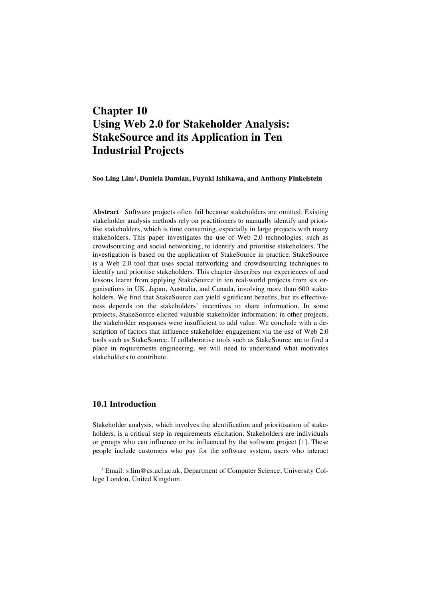# **Chapter 10 Using Web 2.0 for Stakeholder Analysis: StakeSource and its Application in Ten Industrial Projects**

**Soo Ling Lim1 , Daniela Damian, Fuyuki Ishikawa, and Anthony Finkelstein**

**Abstract** Software projects often fail because stakeholders are omitted. Existing stakeholder analysis methods rely on practitioners to manually identify and prioritise stakeholders, which is time consuming, especially in large projects with many stakeholders. This paper investigates the use of Web 2.0 technologies, such as crowdsourcing and social networking, to identify and prioritise stakeholders. The investigation is based on the application of StakeSource in practice. StakeSource is a Web 2.0 tool that uses social networking and crowdsourcing techniques to identify and prioritise stakeholders. This chapter describes our experiences of and lessons learnt from applying StakeSource in ten real-world projects from six organisations in UK, Japan, Australia, and Canada, involving more than 600 stakeholders. We find that StakeSource can yield significant benefits, but its effectiveness depends on the stakeholders' incentives to share information. In some projects, StakeSource elicited valuable stakeholder information; in other projects, the stakeholder responses were insufficient to add value. We conclude with a description of factors that influence stakeholder engagement via the use of Web 2.0 tools such as StakeSource. If collaborative tools such as StakeSource are to find a place in requirements engineering, we will need to understand what motivates stakeholders to contribute.

# **10.1 Introduction**

Stakeholder analysis, which involves the identification and prioritisation of stakeholders, is a critical step in requirements elicitation. Stakeholders are individuals or groups who can influence or be influenced by the software project [1]. These people include customers who pay for the software system, users who interact

 <sup>1</sup> Email: s.lim@cs.ucl.ac.uk, Department of Computer Science, University College London, United Kingdom.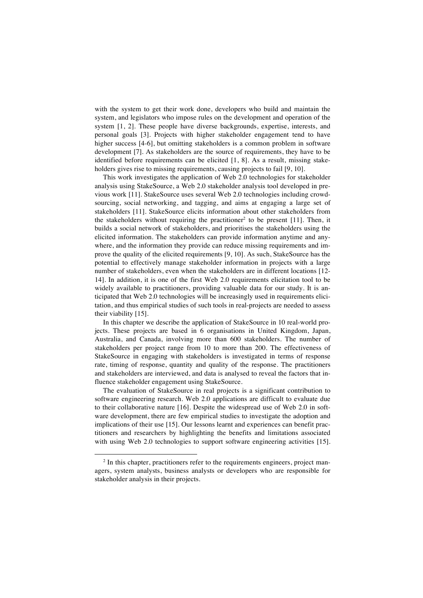with the system to get their work done, developers who build and maintain the system, and legislators who impose rules on the development and operation of the system [1, 2]. These people have diverse backgrounds, expertise, interests, and personal goals [3]. Projects with higher stakeholder engagement tend to have higher success [4-6], but omitting stakeholders is a common problem in software development [7]. As stakeholders are the source of requirements, they have to be identified before requirements can be elicited [1, 8]. As a result, missing stakeholders gives rise to missing requirements, causing projects to fail [9, 10].

This work investigates the application of Web 2.0 technologies for stakeholder analysis using StakeSource, a Web 2.0 stakeholder analysis tool developed in previous work [11]. StakeSource uses several Web 2.0 technologies including crowdsourcing, social networking, and tagging, and aims at engaging a large set of stakeholders [11]. StakeSource elicits information about other stakeholders from the stakeholders without requiring the practitioner<sup>2</sup> to be present [11]. Then, it builds a social network of stakeholders, and prioritises the stakeholders using the elicited information. The stakeholders can provide information anytime and anywhere, and the information they provide can reduce missing requirements and improve the quality of the elicited requirements [9, 10]. As such, StakeSource has the potential to effectively manage stakeholder information in projects with a large number of stakeholders, even when the stakeholders are in different locations [12- 14]. In addition, it is one of the first Web 2.0 requirements elicitation tool to be widely available to practitioners, providing valuable data for our study. It is anticipated that Web 2.0 technologies will be increasingly used in requirements elicitation, and thus empirical studies of such tools in real-projects are needed to assess their viability [15].

In this chapter we describe the application of StakeSource in 10 real-world projects. These projects are based in 6 organisations in United Kingdom, Japan, Australia, and Canada, involving more than 600 stakeholders. The number of stakeholders per project range from 10 to more than 200. The effectiveness of StakeSource in engaging with stakeholders is investigated in terms of response rate, timing of response, quantity and quality of the response. The practitioners and stakeholders are interviewed, and data is analysed to reveal the factors that influence stakeholder engagement using StakeSource.

The evaluation of StakeSource in real projects is a significant contribution to software engineering research. Web 2.0 applications are difficult to evaluate due to their collaborative nature [16]. Despite the widespread use of Web 2.0 in software development, there are few empirical studies to investigate the adoption and implications of their use [15]. Our lessons learnt and experiences can benefit practitioners and researchers by highlighting the benefits and limitations associated with using Web 2.0 technologies to support software engineering activities [15].

<sup>&</sup>lt;sup>2</sup> In this chapter, practitioners refer to the requirements engineers, project managers, system analysts, business analysts or developers who are responsible for stakeholder analysis in their projects.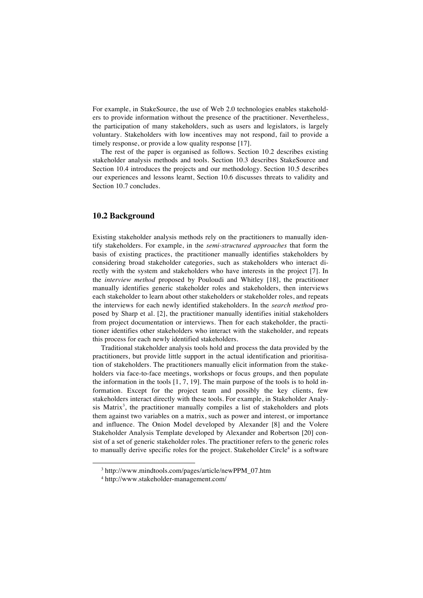For example, in StakeSource, the use of Web 2.0 technologies enables stakeholders to provide information without the presence of the practitioner. Nevertheless, the participation of many stakeholders, such as users and legislators, is largely voluntary. Stakeholders with low incentives may not respond, fail to provide a timely response, or provide a low quality response [17].

The rest of the paper is organised as follows. Section 10.2 describes existing stakeholder analysis methods and tools. Section 10.3 describes StakeSource and Section 10.4 introduces the projects and our methodology. Section 10.5 describes our experiences and lessons learnt, Section 10.6 discusses threats to validity and Section 10.7 concludes.

## **10.2 Background**

Existing stakeholder analysis methods rely on the practitioners to manually identify stakeholders. For example, in the *semi-structured approaches* that form the basis of existing practices, the practitioner manually identifies stakeholders by considering broad stakeholder categories, such as stakeholders who interact directly with the system and stakeholders who have interests in the project [7]. In the *interview method* proposed by Pouloudi and Whitley [18], the practitioner manually identifies generic stakeholder roles and stakeholders, then interviews each stakeholder to learn about other stakeholders or stakeholder roles, and repeats the interviews for each newly identified stakeholders. In the *search method* proposed by Sharp et al. [2], the practitioner manually identifies initial stakeholders from project documentation or interviews. Then for each stakeholder, the practitioner identifies other stakeholders who interact with the stakeholder, and repeats this process for each newly identified stakeholders.

Traditional stakeholder analysis tools hold and process the data provided by the practitioners, but provide little support in the actual identification and prioritisation of stakeholders. The practitioners manually elicit information from the stakeholders via face-to-face meetings, workshops or focus groups, and then populate the information in the tools [1, 7, 19]. The main purpose of the tools is to hold information. Except for the project team and possibly the key clients, few stakeholders interact directly with these tools. For example, in Stakeholder Analysis Matrix<sup>3</sup>, the practitioner manually compiles a list of stakeholders and plots them against two variables on a matrix, such as power and interest, or importance and influence. The Onion Model developed by Alexander [8] and the Volere Stakeholder Analysis Template developed by Alexander and Robertson [20] consist of a set of generic stakeholder roles. The practitioner refers to the generic roles to manually derive specific roles for the project. Stakeholder Circle<sup>4</sup> is a software

 <sup>3</sup> http://www.mindtools.com/pages/article/newPPM\_07.htm

<sup>4</sup> http://www.stakeholder-management.com/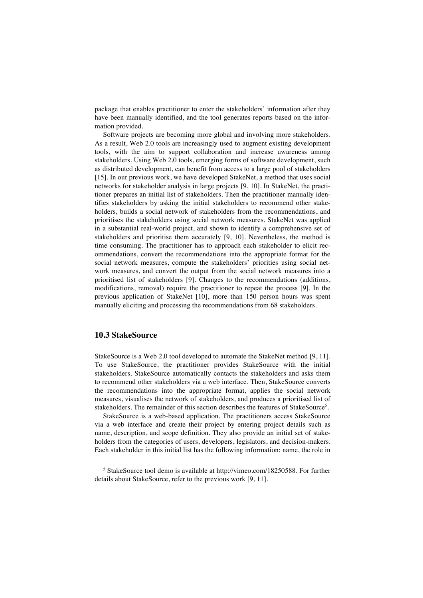package that enables practitioner to enter the stakeholders' information after they have been manually identified, and the tool generates reports based on the information provided.

Software projects are becoming more global and involving more stakeholders. As a result, Web 2.0 tools are increasingly used to augment existing development tools, with the aim to support collaboration and increase awareness among stakeholders. Using Web 2.0 tools, emerging forms of software development, such as distributed development, can benefit from access to a large pool of stakeholders [15]. In our previous work, we have developed StakeNet, a method that uses social networks for stakeholder analysis in large projects [9, 10]. In StakeNet, the practitioner prepares an initial list of stakeholders. Then the practitioner manually identifies stakeholders by asking the initial stakeholders to recommend other stakeholders, builds a social network of stakeholders from the recommendations, and prioritises the stakeholders using social network measures. StakeNet was applied in a substantial real-world project, and shown to identify a comprehensive set of stakeholders and prioritise them accurately [9, 10]. Nevertheless, the method is time consuming. The practitioner has to approach each stakeholder to elicit recommendations, convert the recommendations into the appropriate format for the social network measures, compute the stakeholders' priorities using social network measures, and convert the output from the social network measures into a prioritised list of stakeholders [9]. Changes to the recommendations (additions, modifications, removal) require the practitioner to repeat the process [9]. In the previous application of StakeNet [10], more than 150 person hours was spent manually eliciting and processing the recommendations from 68 stakeholders.

## **10.3 StakeSource**

StakeSource is a Web 2.0 tool developed to automate the StakeNet method [9, 11]. To use StakeSource, the practitioner provides StakeSource with the initial stakeholders. StakeSource automatically contacts the stakeholders and asks them to recommend other stakeholders via a web interface. Then, StakeSource converts the recommendations into the appropriate format, applies the social network measures, visualises the network of stakeholders, and produces a prioritised list of stakeholders. The remainder of this section describes the features of StakeSource<sup>5</sup>.

StakeSource is a web-based application. The practitioners access StakeSource via a web interface and create their project by entering project details such as name, description, and scope definition. They also provide an initial set of stakeholders from the categories of users, developers, legislators, and decision-makers. Each stakeholder in this initial list has the following information: name, the role in

 <sup>5</sup> StakeSource tool demo is available at http://vimeo.com/18250588. For further details about StakeSource, refer to the previous work [9, 11].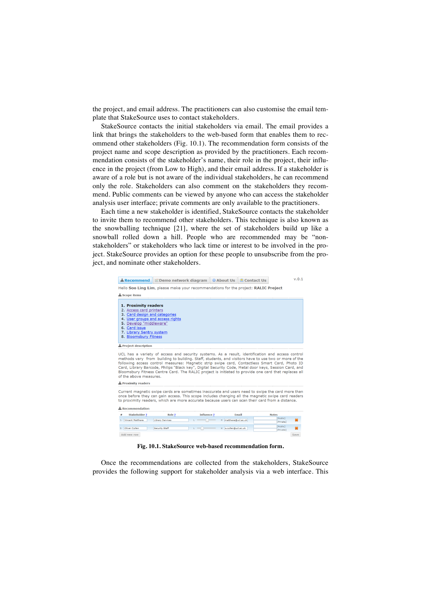the project, and email address. The practitioners can also customise the email template that StakeSource uses to contact stakeholders.

StakeSource contacts the initial stakeholders via email. The email provides a link that brings the stakeholders to the web-based form that enables them to recommend other stakeholders (Fig. 10.1). The recommendation form consists of the project name and scope description as provided by the practitioners. Each recommendation consists of the stakeholder's name, their role in the project, their influence in the project (from Low to High), and their email address. If a stakeholder is aware of a role but is not aware of the individual stakeholders, he can recommend only the role. Stakeholders can also comment on the stakeholders they recommend. Public comments can be viewed by anyone who can access the stakeholder analysis user interface; private comments are only available to the practitioners.

Each time a new stakeholder is identified, StakeSource contacts the stakeholder to invite them to recommend other stakeholders. This technique is also known as the snowballing technique [21], where the set of stakeholders build up like a snowball rolled down a hill. People who are recommended may be "nonstakeholders" or stakeholders who lack time or interest to be involved in the project. StakeSource provides an option for these people to unsubscribe from the project, and nominate other stakeholders.



**Fig. 10.1. StakeSource web-based recommendation form.**

Save

Add new row

Once the recommendations are collected from the stakeholders, StakeSource provides the following support for stakeholder analysis via a web interface. This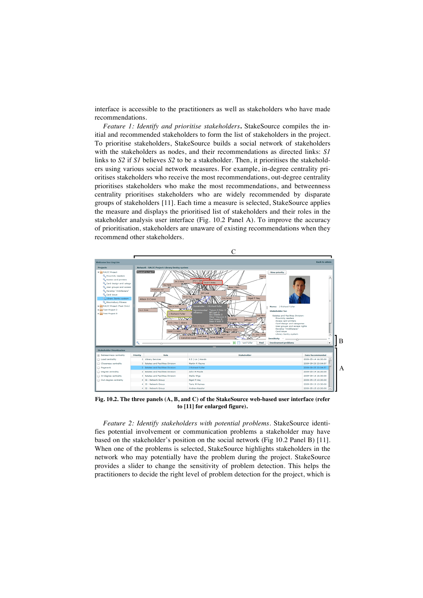interface is accessible to the practitioners as well as stakeholders who have made recommendations.

*Feature 1: Identify and prioritise stakeholders***.** StakeSource compiles the initial and recommended stakeholders to form the list of stakeholders in the project. To prioritise stakeholders, StakeSource builds a social network of stakeholders with the stakeholders as nodes, and their recommendations as directed links: *S1* links to *S2* if *S1* believes *S2* to be a stakeholder. Then, it prioritises the stakeholders using various social network measures. For example, in-degree centrality prioritises stakeholders who receive the most recommendations, out-degree centrality prioritises stakeholders who make the most recommendations, and betweenness centrality prioritises stakeholders who are widely recommended by disparate groups of stakeholders [11]. Each time a measure is selected, StakeSource applies the measure and displays the prioritised list of stakeholders and their roles in the stakeholder analysis user interface (Fig. 10.2 Panel A). To improve the accuracy of prioritisation, stakeholders are unaware of existing recommendations when they recommend other stakeholders.



**Fig. 10.2. The three panels (A, B, and C) of the StakeSource web-based user interface (refer to [11] for enlarged figure).**

*Feature 2: Identify stakeholders with potential problems*. StakeSource identifies potential involvement or communication problems a stakeholder may have based on the stakeholder's position on the social network (Fig 10.2 Panel B) [11]. When one of the problems is selected, StakeSource highlights stakeholders in the network who may potentially have the problem during the project. StakeSource provides a slider to change the sensitivity of problem detection. This helps the practitioners to decide the right level of problem detection for the project, which is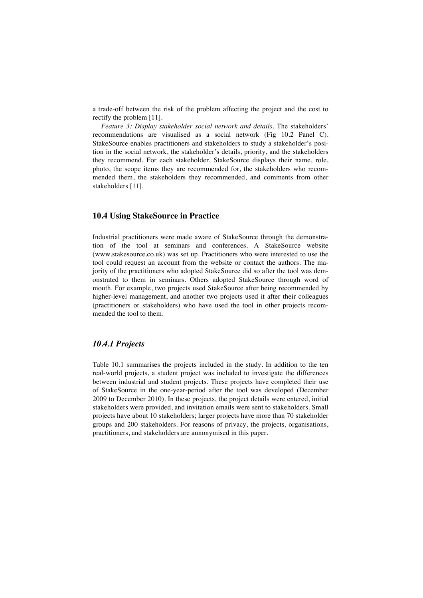a trade-off between the risk of the problem affecting the project and the cost to rectify the problem [11].

*Feature 3: Display stakeholder social network and details*. The stakeholders' recommendations are visualised as a social network (Fig 10.2 Panel C). StakeSource enables practitioners and stakeholders to study a stakeholder's position in the social network, the stakeholder's details, priority, and the stakeholders they recommend. For each stakeholder, StakeSource displays their name, role, photo, the scope items they are recommended for, the stakeholders who recommended them, the stakeholders they recommended, and comments from other stakeholders [11].

## **10.4 Using StakeSource in Practice**

Industrial practitioners were made aware of StakeSource through the demonstration of the tool at seminars and conferences. A StakeSource website (www.stakesource.co.uk) was set up. Practitioners who were interested to use the tool could request an account from the website or contact the authors. The majority of the practitioners who adopted StakeSource did so after the tool was demonstrated to them in seminars. Others adopted StakeSource through word of mouth. For example, two projects used StakeSource after being recommended by higher-level management, and another two projects used it after their colleagues (practitioners or stakeholders) who have used the tool in other projects recommended the tool to them.

#### *10.4.1 Projects*

Table 10.1 summarises the projects included in the study. In addition to the ten real-world projects, a student project was included to investigate the differences between industrial and student projects. These projects have completed their use of StakeSource in the one-year-period after the tool was developed (December 2009 to December 2010). In these projects, the project details were entered, initial stakeholders were provided, and invitation emails were sent to stakeholders. Small projects have about 10 stakeholders; larger projects have more than 70 stakeholder groups and 200 stakeholders. For reasons of privacy, the projects, organisations, practitioners, and stakeholders are annonymised in this paper.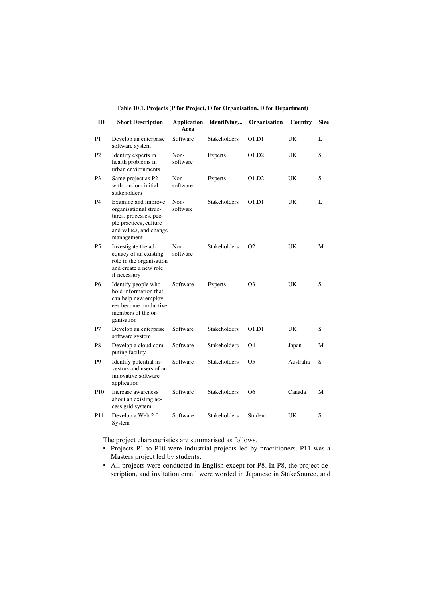| ID              | <b>Short Description</b>                                                                                                                 | <b>Application</b><br>Area | Identifying         | Organisation   | Country   | Size |
|-----------------|------------------------------------------------------------------------------------------------------------------------------------------|----------------------------|---------------------|----------------|-----------|------|
| P <sub>1</sub>  | Develop an enterprise<br>software system                                                                                                 | Software                   | <b>Stakeholders</b> | 01.D1          | UK        | L    |
| P <sub>2</sub>  | Identify experts in<br>health problems in<br>urban environments                                                                          | Non-<br>software           | Experts             | O1.D2          | UK        | S    |
| P <sub>3</sub>  | Same project as P2<br>with random initial<br>stakeholders                                                                                | Non-<br>software           | Experts             | O1.D2          | UK        | S    |
| P <sub>4</sub>  | Examine and improve<br>organisational struc-<br>tures, processes, peo-<br>ple practices, culture<br>and values, and change<br>management | Non-<br>software           | Stakeholders        | 01.D1          | UK        | L    |
| P <sub>5</sub>  | Investigate the ad-<br>equacy of an existing<br>role in the organisation<br>and create a new role<br>if necessary                        | Non-<br>software           | Stakeholders        | O <sub>2</sub> | UK        | M    |
| P <sub>6</sub>  | Identify people who<br>hold information that<br>can help new employ-<br>ees become productive<br>members of the or-<br>ganisation        | Software                   | Experts             | O3             | UK        | S    |
| P7              | Develop an enterprise<br>software system                                                                                                 | Software                   | <b>Stakeholders</b> | O1.D1          | UK        | S    |
| P8              | Develop a cloud com-<br>puting facility                                                                                                  | Software                   | Stakeholders        | O4             | Japan     | М    |
| P <sub>9</sub>  | Identify potential in-<br>vestors and users of an<br>innovative software<br>application                                                  | Software                   | Stakeholders        | O <sub>5</sub> | Australia | S    |
| P <sub>10</sub> | Increase awareness<br>about an existing ac-<br>cess grid system                                                                          | Software                   | Stakeholders        | O6             | Canada    | М    |
| P11             | Develop a Web 2.0<br>System                                                                                                              | Software                   | Stakeholders        | Student        | UK        | S    |

**Table 10.1. Projects (P for Project, O for Organisation, D for Department)**

The project characteristics are summarised as follows.

• Projects P1 to P10 were industrial projects led by practitioners. P11 was a Masters project led by students.

• All projects were conducted in English except for P8. In P8, the project description, and invitation email were worded in Japanese in StakeSource, and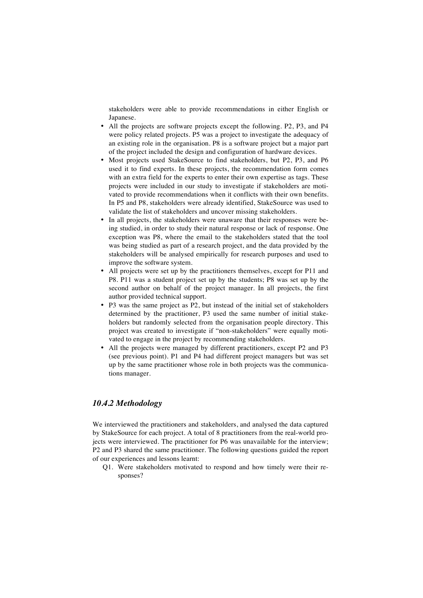stakeholders were able to provide recommendations in either English or Japanese.

- All the projects are software projects except the following. P2, P3, and P4 were policy related projects. P5 was a project to investigate the adequacy of an existing role in the organisation. P8 is a software project but a major part of the project included the design and configuration of hardware devices.
- Most projects used StakeSource to find stakeholders, but P2, P3, and P6 used it to find experts. In these projects, the recommendation form comes with an extra field for the experts to enter their own expertise as tags. These projects were included in our study to investigate if stakeholders are motivated to provide recommendations when it conflicts with their own benefits. In P5 and P8, stakeholders were already identified, StakeSource was used to validate the list of stakeholders and uncover missing stakeholders.
- In all projects, the stakeholders were unaware that their responses were being studied, in order to study their natural response or lack of response. One exception was P8, where the email to the stakeholders stated that the tool was being studied as part of a research project, and the data provided by the stakeholders will be analysed empirically for research purposes and used to improve the software system.
- All projects were set up by the practitioners themselves, except for P11 and P8. P11 was a student project set up by the students; P8 was set up by the second author on behalf of the project manager. In all projects, the first author provided technical support.
- P3 was the same project as P2, but instead of the initial set of stakeholders determined by the practitioner, P3 used the same number of initial stakeholders but randomly selected from the organisation people directory. This project was created to investigate if "non-stakeholders" were equally motivated to engage in the project by recommending stakeholders.
- All the projects were managed by different practitioners, except P2 and P3 (see previous point). P1 and P4 had different project managers but was set up by the same practitioner whose role in both projects was the communications manager.

# *10.4.2 Methodology*

We interviewed the practitioners and stakeholders, and analysed the data captured by StakeSource for each project. A total of 8 practitioners from the real-world projects were interviewed. The practitioner for P6 was unavailable for the interview; P2 and P3 shared the same practitioner. The following questions guided the report of our experiences and lessons learnt:

Q1. Were stakeholders motivated to respond and how timely were their responses?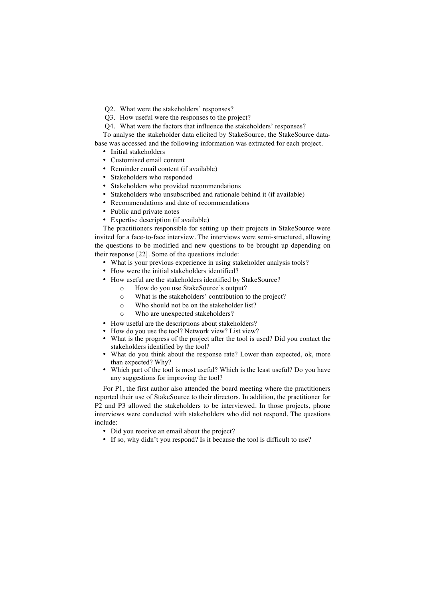Q2. What were the stakeholders' responses?

Q3. How useful were the responses to the project?

Q4. What were the factors that influence the stakeholders' responses?

To analyse the stakeholder data elicited by StakeSource, the StakeSource database was accessed and the following information was extracted for each project.

- Initial stakeholders
- Customised email content
- Reminder email content (if available)
- Stakeholders who responded
- Stakeholders who provided recommendations
- Stakeholders who unsubscribed and rationale behind it (if available)
- Recommendations and date of recommendations
- Public and private notes
- Expertise description (if available)

The practitioners responsible for setting up their projects in StakeSource were invited for a face-to-face interview. The interviews were semi-structured, allowing the questions to be modified and new questions to be brought up depending on their response [22]. Some of the questions include:

- What is your previous experience in using stakeholder analysis tools?
- How were the initial stakeholders identified?
- How useful are the stakeholders identified by StakeSource?
	- o How do you use StakeSource's output?
	- o What is the stakeholders' contribution to the project?
	- o Who should not be on the stakeholder list?
	- o Who are unexpected stakeholders?
- How useful are the descriptions about stakeholders?
- How do you use the tool? Network view? List view?
- What is the progress of the project after the tool is used? Did you contact the stakeholders identified by the tool?
- What do you think about the response rate? Lower than expected, ok, more than expected? Why?
- Which part of the tool is most useful? Which is the least useful? Do you have any suggestions for improving the tool?

For P1, the first author also attended the board meeting where the practitioners reported their use of StakeSource to their directors. In addition, the practitioner for P2 and P3 allowed the stakeholders to be interviewed. In those projects, phone interviews were conducted with stakeholders who did not respond. The questions include:

- Did you receive an email about the project?
- If so, why didn't you respond? Is it because the tool is difficult to use?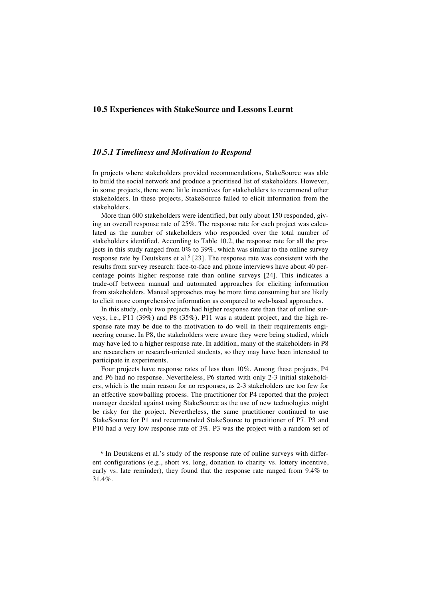#### **10.5 Experiences with StakeSource and Lessons Learnt**

## *10.5.1 Timeliness and Motivation to Respond*

In projects where stakeholders provided recommendations, StakeSource was able to build the social network and produce a prioritised list of stakeholders. However, in some projects, there were little incentives for stakeholders to recommend other stakeholders. In these projects, StakeSource failed to elicit information from the stakeholders.

More than 600 stakeholders were identified, but only about 150 responded, giving an overall response rate of 25%. The response rate for each project was calculated as the number of stakeholders who responded over the total number of stakeholders identified. According to Table 10.2, the response rate for all the projects in this study ranged from 0% to 39%, which was similar to the online survey response rate by Deutskens et al. $<sup>6</sup>$  [23]. The response rate was consistent with the</sup> results from survey research: face-to-face and phone interviews have about 40 percentage points higher response rate than online surveys [24]. This indicates a trade-off between manual and automated approaches for eliciting information from stakeholders. Manual approaches may be more time consuming but are likely to elicit more comprehensive information as compared to web-based approaches.

In this study, only two projects had higher response rate than that of online surveys, i.e., P11 (39%) and P8 (35%). P11 was a student project, and the high response rate may be due to the motivation to do well in their requirements engineering course. In P8, the stakeholders were aware they were being studied, which may have led to a higher response rate. In addition, many of the stakeholders in P8 are researchers or research-oriented students, so they may have been interested to participate in experiments.

Four projects have response rates of less than 10%. Among these projects, P4 and P6 had no response. Nevertheless, P6 started with only 2-3 initial stakeholders, which is the main reason for no responses, as 2-3 stakeholders are too few for an effective snowballing process. The practitioner for P4 reported that the project manager decided against using StakeSource as the use of new technologies might be risky for the project. Nevertheless, the same practitioner continued to use StakeSource for P1 and recommended StakeSource to practitioner of P7. P3 and P10 had a very low response rate of 3%. P3 was the project with a random set of

 <sup>6</sup> In Deutskens et al.'s study of the response rate of online surveys with different configurations (e.g., short vs. long, donation to charity vs. lottery incentive, early vs. late reminder), they found that the response rate ranged from 9.4% to 31.4%.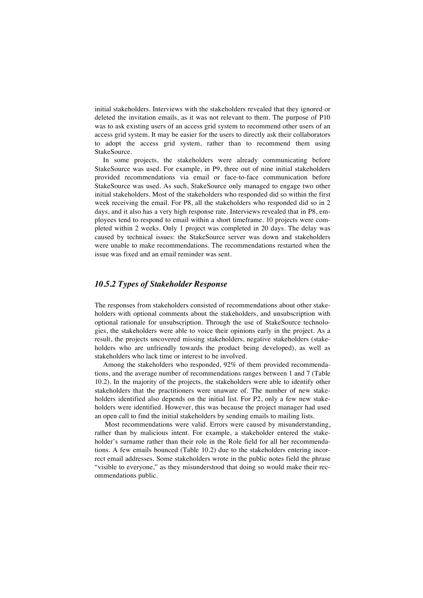initial stakeholders. Interviews with the stakeholders revealed that they ignored or deleted the invitation emails, as it was not relevant to them. The purpose of P10 was to ask existing users of an access grid system to recommend other users of an access grid system. It may be easier for the users to directly ask their collaborators to adopt the access grid system, rather than to recommend them using StakeSource.

In some projects, the stakeholders were already communicating before StakeSource was used. For example, in P9, three out of nine initial stakeholders provided recommendations via email or face-to-face communication before StakeSource was used. As such, StakeSource only managed to engage two other initial stakeholders. Most of the stakeholders who responded did so within the first week receiving the email. For P8, all the stakeholders who responded did so in 2 days, and it also has a very high response rate. Interviews revealed that in P8, employees tend to respond to email within a short timeframe. 10 projects were completed within 2 weeks. Only 1 project was completed in 20 days. The delay was caused by technical issues: the StakeSource server was down and stakeholders were unable to make recommendations. The recommendations restarted when the issue was fixed and an email reminder was sent.

#### *10.5.2 Types of Stakeholder Response*

The responses from stakeholders consisted of recommendations about other stakeholders with optional comments about the stakeholders, and unsubscription with optional rationale for unsubscription. Through the use of StakeSource technologies, the stakeholders were able to voice their opinions early in the project. As a result, the projects uncovered missing stakeholders, negative stakeholders (stakeholders who are unfriendly towards the product being developed), as well as stakeholders who lack time or interest to be involved.

Among the stakeholders who responded, 92% of them provided recommendations, and the average number of recommendations ranges between 1 and 7 (Table 10.2). In the majority of the projects, the stakeholders were able to identify other stakeholders that the practitioners were unaware of. The number of new stakeholders identified also depends on the initial list. For P2, only a few new stakeholders were identified. However, this was because the project manager had used an open call to find the initial stakeholders by sending emails to mailing lists.

 Most recommendations were valid. Errors were caused by misunderstanding, rather than by malicious intent. For example, a stakeholder entered the stakeholder's surname rather than their role in the Role field for all her recommendations. A few emails bounced (Table 10.2) due to the stakeholders entering incorrect email addresses. Some stakeholders wrote in the public notes field the phrase "visible to everyone," as they misunderstood that doing so would make their recommendations public.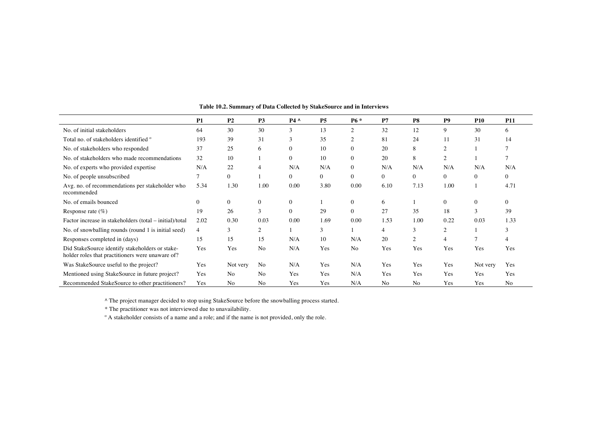|                                                                                                     | <b>P1</b> | P <sub>2</sub> | <b>P3</b>      | $P4^{\wedge}$ | <b>P5</b> | $P6*$          | P7       | P8       | P <sub>9</sub> | <b>P10</b>   | <b>P11</b>    |
|-----------------------------------------------------------------------------------------------------|-----------|----------------|----------------|---------------|-----------|----------------|----------|----------|----------------|--------------|---------------|
| No. of initial stakeholders                                                                         | 64        | 30             | 30             | 3             | 13        | 2              | 32       | 12       | 9              | 30           | 6             |
| Total no. of stakeholders identified <sup>o</sup>                                                   | 193       | 39             | 31             | 3             | 35        | $\overline{2}$ | 81       | 24       | 11             | 31           | 14            |
| No. of stakeholders who responded                                                                   | 37        | 25             | 6              | $\mathbf{0}$  | 10        | $\theta$       | 20       | 8        | $\overline{c}$ |              | $\mathcal{I}$ |
| No. of stakeholders who made recommendations                                                        | 32        | 10             |                | $\theta$      | 10        | $\mathbf{0}$   | 20       | 8        | $\overline{2}$ |              | 7             |
| No. of experts who provided expertise                                                               | N/A       | 22             | 4              | N/A           | N/A       | $\mathbf{0}$   | N/A      | N/A      | N/A            | N/A          | N/A           |
| No. of people unsubscribed                                                                          | 7         | $\theta$       |                | $\theta$      | $\Omega$  | $\theta$       | $\Omega$ | $\theta$ | $\Omega$       | $\theta$     | $\Omega$      |
| Avg. no. of recommendations per stakeholder who<br>recommended                                      | 5.34      | 1.30           | 1.00           | 0.00          | 3.80      | 0.00           | 6.10     | 7.13     | 1.00           |              | 4.71          |
| No. of emails bounced                                                                               | $\Omega$  | $\overline{0}$ | $\mathbf{0}$   | $\mathbf{0}$  |           | $\overline{0}$ | 6        |          | $\overline{0}$ | $\mathbf{0}$ | $\mathbf{0}$  |
| Response rate $(\%)$                                                                                | 19        | 26             | 3              | $\mathbf{0}$  | 29        | $\mathbf{0}$   | 27       | 35       | 18             | 3            | 39            |
| Factor increase in stakeholders (total – initial)/total                                             | 2.02      | 0.30           | 0.03           | 0.00          | 1.69      | 0.00           | 1.53     | 1.00     | 0.22           | 0.03         | 1.33          |
| No. of snowballing rounds (round 1 is initial seed)                                                 | 4         | 3              | 2              |               | 3         |                | 4        | 3        | 2              |              | 3             |
| Responses completed in (days)                                                                       | 15        | 15             | 15             | N/A           | 10        | N/A            | 20       | 2        | 4              | 7            | 4             |
| Did StakeSource identify stakeholders or stake-<br>holder roles that practitioners were unaware of? | Yes       | Yes            | N <sub>o</sub> | N/A           | Yes       | N <sub>o</sub> | Yes      | Yes      | Yes            | Yes          | Yes           |
| Was StakeSource useful to the project?                                                              | Yes       | Not very       | No             | N/A           | Yes       | N/A            | Yes      | Yes      | Yes            | Not very     | Yes           |
| Mentioned using StakeSource in future project?                                                      | Yes       | No             | No             | Yes           | Yes       | N/A            | Yes      | Yes      | Yes            | Yes          | Yes           |
| Recommended StakeSource to other practitioners?                                                     | Yes       | N <sub>o</sub> | No             | Yes           | Yes       | N/A            | No       | No       | Yes            | Yes          | No            |

**Table 10.2. Summary of Data Collected by StakeSource and in Interviews**

^ The project manager decided to stop using StakeSource before the snowballing process started.

\* The practitioner was not interviewed due to unavailability.

º A stakeholder consists of a name and a role; and if the name is not provided, only the role.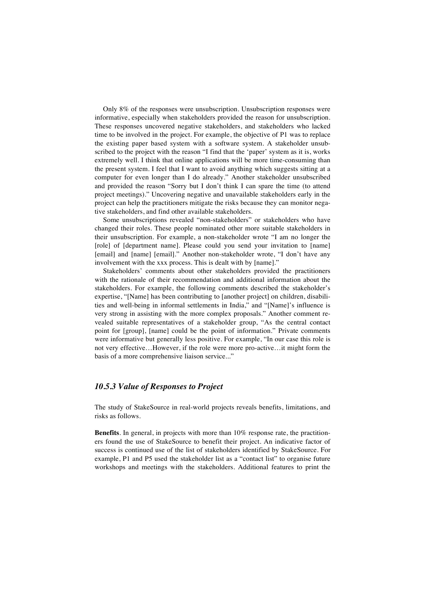Only 8% of the responses were unsubscription. Unsubscription responses were informative, especially when stakeholders provided the reason for unsubscription. These responses uncovered negative stakeholders, and stakeholders who lacked time to be involved in the project. For example, the objective of P1 was to replace the existing paper based system with a software system. A stakeholder unsubscribed to the project with the reason "I find that the 'paper' system as it is, works extremely well. I think that online applications will be more time-consuming than the present system. I feel that I want to avoid anything which suggests sitting at a computer for even longer than I do already." Another stakeholder unsubscribed and provided the reason "Sorry but I don't think I can spare the time (to attend project meetings)." Uncovering negative and unavailable stakeholders early in the project can help the practitioners mitigate the risks because they can monitor negative stakeholders, and find other available stakeholders.

Some unsubscriptions revealed "non-stakeholders" or stakeholders who have changed their roles. These people nominated other more suitable stakeholders in their unsubscription. For example, a non-stakeholder wrote "I am no longer the [role] of [department name]. Please could you send your invitation to [name] [email] and [name] [email]." Another non-stakeholder wrote, "I don't have any involvement with the xxx process. This is dealt with by [name].'

Stakeholders' comments about other stakeholders provided the practitioners with the rationale of their recommendation and additional information about the stakeholders. For example, the following comments described the stakeholder's expertise, "[Name] has been contributing to [another project] on children, disabilities and well-being in informal settlements in India," and "[Name]'s influence is very strong in assisting with the more complex proposals." Another comment revealed suitable representatives of a stakeholder group, "As the central contact point for [group], [name] could be the point of information." Private comments were informative but generally less positive. For example, "In our case this role is not very effective…However, if the role were more pro-active…it might form the basis of a more comprehensive liaison service..."

#### *10.5.3 Value of Responses to Project*

The study of StakeSource in real-world projects reveals benefits, limitations, and risks as follows.

**Benefits**. In general, in projects with more than 10% response rate, the practitioners found the use of StakeSource to benefit their project. An indicative factor of success is continued use of the list of stakeholders identified by StakeSource. For example, P1 and P5 used the stakeholder list as a "contact list" to organise future workshops and meetings with the stakeholders. Additional features to print the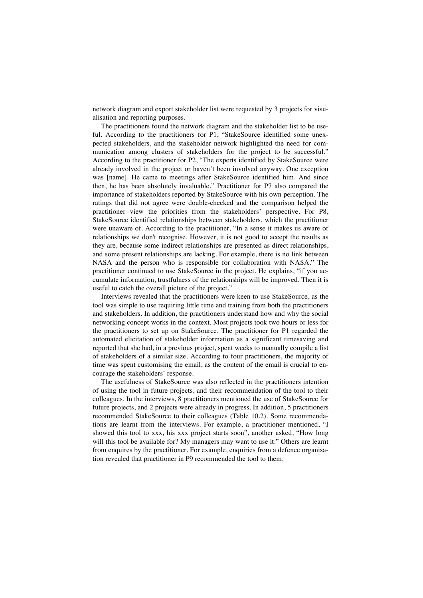network diagram and export stakeholder list were requested by 3 projects for visualisation and reporting purposes.

The practitioners found the network diagram and the stakeholder list to be useful. According to the practitioners for P1, "StakeSource identified some unexpected stakeholders, and the stakeholder network highlighted the need for communication among clusters of stakeholders for the project to be successful." According to the practitioner for P2, "The experts identified by StakeSource were already involved in the project or haven't been involved anyway. One exception was [name]. He came to meetings after StakeSource identified him. And since then, he has been absolutely invaluable." Practitioner for P7 also compared the importance of stakeholders reported by StakeSource with his own perception. The ratings that did not agree were double-checked and the comparison helped the practitioner view the priorities from the stakeholders' perspective. For P8, StakeSource identified relationships between stakeholders, which the practitioner were unaware of. According to the practitioner, "In a sense it makes us aware of relationships we don't recognise. However, it is not good to accept the results as they are, because some indirect relationships are presented as direct relationships, and some present relationships are lacking. For example, there is no link between NASA and the person who is responsible for collaboration with NASA." The practitioner continued to use StakeSource in the project. He explains, "if you accumulate information, trustfulness of the relationships will be improved. Then it is useful to catch the overall picture of the project."

Interviews revealed that the practitioners were keen to use StakeSource, as the tool was simple to use requiring little time and training from both the practitioners and stakeholders. In addition, the practitioners understand how and why the social networking concept works in the context. Most projects took two hours or less for the practitioners to set up on StakeSource. The practitioner for P1 regarded the automated elicitation of stakeholder information as a significant timesaving and reported that she had, in a previous project, spent weeks to manually compile a list of stakeholders of a similar size. According to four practitioners, the majority of time was spent customising the email, as the content of the email is crucial to encourage the stakeholders' response.

The usefulness of StakeSource was also reflected in the practitioners intention of using the tool in future projects, and their recommendation of the tool to their colleagues. In the interviews, 8 practitioners mentioned the use of StakeSource for future projects, and 2 projects were already in progress. In addition, 5 practitioners recommended StakeSource to their colleagues (Table 10.2). Some recommendations are learnt from the interviews. For example, a practitioner mentioned, "I showed this tool to xxx, his xxx project starts soon", another asked, "How long will this tool be available for? My managers may want to use it." Others are learnt from enquires by the practitioner. For example, enquiries from a defence organisation revealed that practitioner in P9 recommended the tool to them.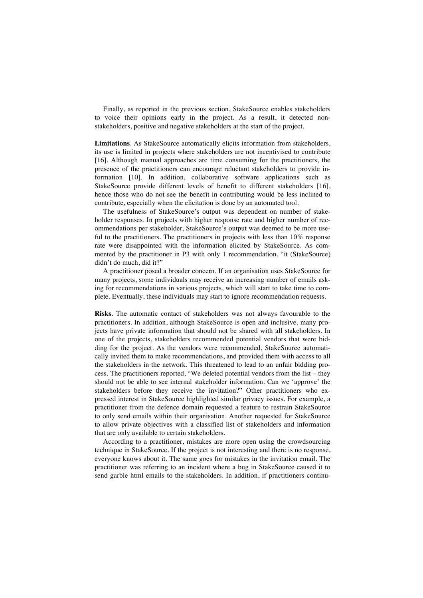Finally, as reported in the previous section, StakeSource enables stakeholders to voice their opinions early in the project. As a result, it detected nonstakeholders, positive and negative stakeholders at the start of the project.

**Limitations**. As StakeSource automatically elicits information from stakeholders, its use is limited in projects where stakeholders are not incentivised to contribute [16]. Although manual approaches are time consuming for the practitioners, the presence of the practitioners can encourage reluctant stakeholders to provide information [10]. In addition, collaborative software applications such as StakeSource provide different levels of benefit to different stakeholders [16], hence those who do not see the benefit in contributing would be less inclined to contribute, especially when the elicitation is done by an automated tool.

The usefulness of StakeSource's output was dependent on number of stakeholder responses. In projects with higher response rate and higher number of recommendations per stakeholder, StakeSource's output was deemed to be more useful to the practitioners. The practitioners in projects with less than 10% response rate were disappointed with the information elicited by StakeSource. As commented by the practitioner in P3 with only 1 recommendation, "it (StakeSource) didn't do much, did it?"

A practitioner posed a broader concern. If an organisation uses StakeSource for many projects, some individuals may receive an increasing number of emails asking for recommendations in various projects, which will start to take time to complete. Eventually, these individuals may start to ignore recommendation requests.

**Risks**. The automatic contact of stakeholders was not always favourable to the practitioners. In addition, although StakeSource is open and inclusive, many projects have private information that should not be shared with all stakeholders. In one of the projects, stakeholders recommended potential vendors that were bidding for the project. As the vendors were recommended, StakeSource automatically invited them to make recommendations, and provided them with access to all the stakeholders in the network. This threatened to lead to an unfair bidding process. The practitioners reported, "We deleted potential vendors from the list – they should not be able to see internal stakeholder information. Can we 'approve' the stakeholders before they receive the invitation?" Other practitioners who expressed interest in StakeSource highlighted similar privacy issues. For example, a practitioner from the defence domain requested a feature to restrain StakeSource to only send emails within their organisation. Another requested for StakeSource to allow private objectives with a classified list of stakeholders and information that are only available to certain stakeholders.

According to a practitioner, mistakes are more open using the crowdsourcing technique in StakeSource. If the project is not interesting and there is no response, everyone knows about it. The same goes for mistakes in the invitation email. The practitioner was referring to an incident where a bug in StakeSource caused it to send garble html emails to the stakeholders. In addition, if practitioners continu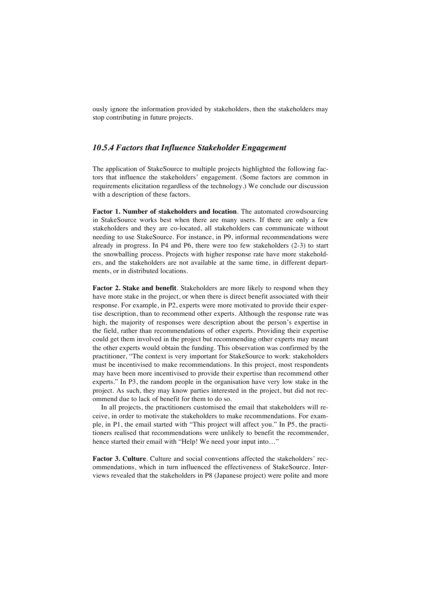ously ignore the information provided by stakeholders, then the stakeholders may stop contributing in future projects.

# *10.5.4 Factors that Influence Stakeholder Engagement*

The application of StakeSource to multiple projects highlighted the following factors that influence the stakeholders' engagement. (Some factors are common in requirements elicitation regardless of the technology.) We conclude our discussion with a description of these factors.

**Factor 1. Number of stakeholders and location**. The automated crowdsourcing in StakeSource works best when there are many users. If there are only a few stakeholders and they are co-located, all stakeholders can communicate without needing to use StakeSource. For instance, in P9, informal recommendations were already in progress. In P4 and P6, there were too few stakeholders (2-3) to start the snowballing process. Projects with higher response rate have more stakeholders, and the stakeholders are not available at the same time, in different departments, or in distributed locations.

**Factor 2. Stake and benefit**. Stakeholders are more likely to respond when they have more stake in the project, or when there is direct benefit associated with their response. For example, in P2, experts were more motivated to provide their expertise description, than to recommend other experts. Although the response rate was high, the majority of responses were description about the person's expertise in the field, rather than recommendations of other experts. Providing their expertise could get them involved in the project but recommending other experts may meant the other experts would obtain the funding. This observation was confirmed by the practitioner, "The context is very important for StakeSource to work: stakeholders must be incentivised to make recommendations. In this project, most respondents may have been more incentivised to provide their expertise than recommend other experts." In P3, the random people in the organisation have very low stake in the project. As such, they may know parties interested in the project, but did not recommend due to lack of benefit for them to do so.

In all projects, the practitioners customised the email that stakeholders will receive, in order to motivate the stakeholders to make recommendations. For example, in P1, the email started with "This project will affect you." In P5, the practitioners realised that recommendations were unlikely to benefit the recommender, hence started their email with "Help! We need your input into…"

**Factor 3. Culture**. Culture and social conventions affected the stakeholders' recommendations, which in turn influenced the effectiveness of StakeSource. Interviews revealed that the stakeholders in P8 (Japanese project) were polite and more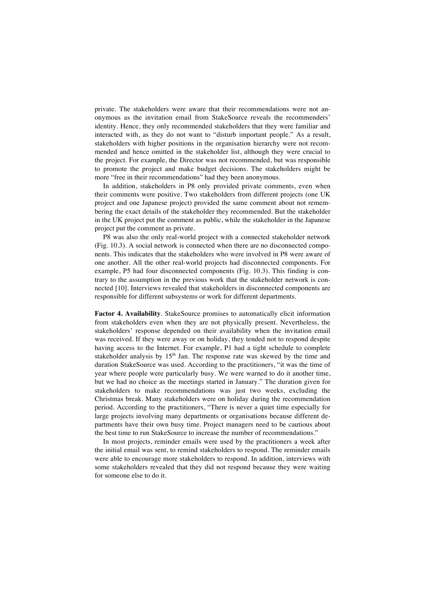private. The stakeholders were aware that their recommendations were not anonymous as the invitation email from StakeSource reveals the recommenders' identity. Hence, they only recommended stakeholders that they were familiar and interacted with, as they do not want to "disturb important people." As a result, stakeholders with higher positions in the organisation hierarchy were not recommended and hence omitted in the stakeholder list, although they were crucial to the project. For example, the Director was not recommended, but was responsible to promote the project and make budget decisions. The stakeholders might be more "free in their recommendations" had they been anonymous.

In addition, stakeholders in P8 only provided private comments, even when their comments were positive. Two stakeholders from different projects (one UK project and one Japanese project) provided the same comment about not remembering the exact details of the stakeholder they recommended. But the stakeholder in the UK project put the comment as public, while the stakeholder in the Japanese project put the comment as private.

P8 was also the only real-world project with a connected stakeholder network (Fig. 10.3). A social network is connected when there are no disconnected components. This indicates that the stakeholders who were involved in P8 were aware of one another. All the other real-world projects had disconnected components. For example, P5 had four disconnected components (Fig. 10.3). This finding is contrary to the assumption in the previous work that the stakeholder network is connected [10]. Interviews revealed that stakeholders in disconnected components are responsible for different subsystems or work for different departments.

**Factor 4. Availability**. StakeSource promises to automatically elicit information from stakeholders even when they are not physically present. Nevertheless, the stakeholders' response depended on their availability when the invitation email was received. If they were away or on holiday, they tended not to respond despite having access to the Internet. For example, P1 had a tight schedule to complete stakeholder analysis by  $15<sup>th</sup>$  Jan. The response rate was skewed by the time and duration StakeSource was used. According to the practitioners, "it was the time of year where people were particularly busy. We were warned to do it another time, but we had no choice as the meetings started in January." The duration given for stakeholders to make recommendations was just two weeks, excluding the Christmas break. Many stakeholders were on holiday during the recommendation period. According to the practitioners, "There is never a quiet time especially for large projects involving many departments or organisations because different departments have their own busy time. Project managers need to be cautious about the best time to run StakeSource to increase the number of recommendations."

In most projects, reminder emails were used by the practitioners a week after the initial email was sent, to remind stakeholders to respond. The reminder emails were able to encourage more stakeholders to respond. In addition, interviews with some stakeholders revealed that they did not respond because they were waiting for someone else to do it.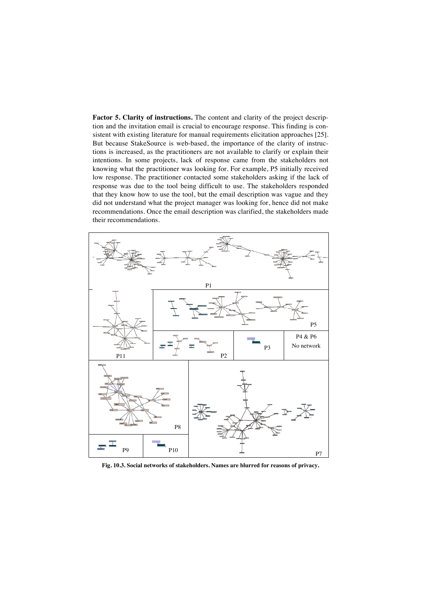**Factor 5. Clarity of instructions.** The content and clarity of the project description and the invitation email is crucial to encourage response. This finding is consistent with existing literature for manual requirements elicitation approaches [25]. But because StakeSource is web-based, the importance of the clarity of instructions is increased, as the practitioners are not available to clarify or explain their intentions. In some projects, lack of response came from the stakeholders not knowing what the practitioner was looking for. For example, P5 initially received low response. The practitioner contacted some stakeholders asking if the lack of response was due to the tool being difficult to use. The stakeholders responded that they know how to use the tool, but the email description was vague and they did not understand what the project manager was looking for, hence did not make recommendations. Once the email description was clarified, the stakeholders made their recommendations.



**Fig. 10.3. Social networks of stakeholders. Names are blurred for reasons of privacy.**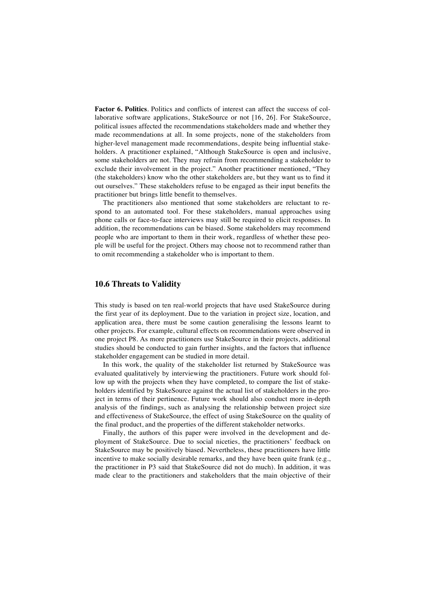**Factor 6. Politics**. Politics and conflicts of interest can affect the success of collaborative software applications, StakeSource or not [16, 26]. For StakeSource, political issues affected the recommendations stakeholders made and whether they made recommendations at all. In some projects, none of the stakeholders from higher-level management made recommendations, despite being influential stakeholders. A practitioner explained, "Although StakeSource is open and inclusive, some stakeholders are not. They may refrain from recommending a stakeholder to exclude their involvement in the project." Another practitioner mentioned, "They (the stakeholders) know who the other stakeholders are, but they want us to find it out ourselves." These stakeholders refuse to be engaged as their input benefits the practitioner but brings little benefit to themselves.

The practitioners also mentioned that some stakeholders are reluctant to respond to an automated tool. For these stakeholders, manual approaches using phone calls or face-to-face interviews may still be required to elicit responses. In addition, the recommendations can be biased. Some stakeholders may recommend people who are important to them in their work, regardless of whether these people will be useful for the project. Others may choose not to recommend rather than to omit recommending a stakeholder who is important to them.

#### **10.6 Threats to Validity**

This study is based on ten real-world projects that have used StakeSource during the first year of its deployment. Due to the variation in project size, location, and application area, there must be some caution generalising the lessons learnt to other projects. For example, cultural effects on recommendations were observed in one project P8. As more practitioners use StakeSource in their projects, additional studies should be conducted to gain further insights, and the factors that influence stakeholder engagement can be studied in more detail.

In this work, the quality of the stakeholder list returned by StakeSource was evaluated qualitatively by interviewing the practitioners. Future work should follow up with the projects when they have completed, to compare the list of stakeholders identified by StakeSource against the actual list of stakeholders in the project in terms of their pertinence. Future work should also conduct more in-depth analysis of the findings, such as analysing the relationship between project size and effectiveness of StakeSource, the effect of using StakeSource on the quality of the final product, and the properties of the different stakeholder networks.

Finally, the authors of this paper were involved in the development and deployment of StakeSource. Due to social niceties, the practitioners' feedback on StakeSource may be positively biased. Nevertheless, these practitioners have little incentive to make socially desirable remarks, and they have been quite frank (e.g., the practitioner in P3 said that StakeSource did not do much). In addition, it was made clear to the practitioners and stakeholders that the main objective of their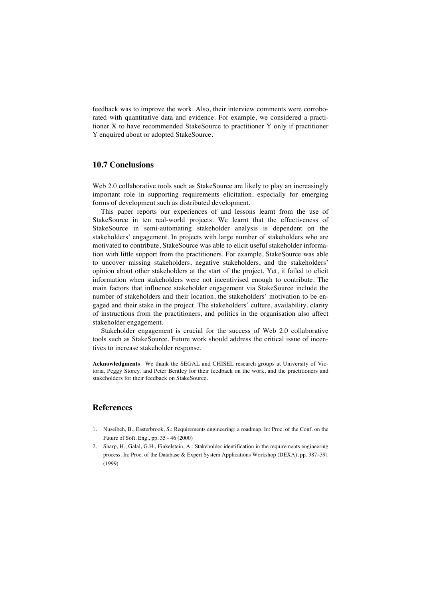feedback was to improve the work. Also, their interview comments were corroborated with quantitative data and evidence. For example, we considered a practitioner X to have recommended StakeSource to practitioner Y only if practitioner Y enquired about or adopted StakeSource.

#### **10.7 Conclusions**

Web 2.0 collaborative tools such as StakeSource are likely to play an increasingly important role in supporting requirements elicitation, especially for emerging forms of development such as distributed development.

This paper reports our experiences of and lessons learnt from the use of StakeSource in ten real-world projects. We learnt that the effectiveness of StakeSource in semi-automating stakeholder analysis is dependent on the stakeholders' engagement. In projects with large number of stakeholders who are motivated to contribute, StakeSource was able to elicit useful stakeholder information with little support from the practitioners. For example, StakeSource was able to uncover missing stakeholders, negative stakeholders, and the stakeholders' opinion about other stakeholders at the start of the project. Yet, it failed to elicit information when stakeholders were not incentivised enough to contribute. The main factors that influence stakeholder engagement via StakeSource include the number of stakeholders and their location, the stakeholders' motivation to be engaged and their stake in the project. The stakeholders' culture, availability, clarity of instructions from the practitioners, and politics in the organisation also affect stakeholder engagement.

Stakeholder engagement is crucial for the success of Web 2.0 collaborative tools such as StakeSource. Future work should address the critical issue of incentives to increase stakeholder response.

**Acknowledgments** We thank the SEGAL and CHISEL research groups at University of Victoria, Peggy Storey, and Peter Bentley for their feedback on the work, and the practitioners and stakeholders for their feedback on StakeSource.

#### **References**

- 1. Nuseibeh, B., Easterbrook, S.: Requirements engineering: a roadmap. In: Proc. of the Conf. on the Future of Soft. Eng., pp. 35 - 46 (2000)
- 2. Sharp, H., Galal, G.H., Finkelstein, A.: Stakeholder identification in the requirements engineering process. In: Proc. of the Database & Expert System Applications Workshop (DEXA), pp. 387–391 (1999)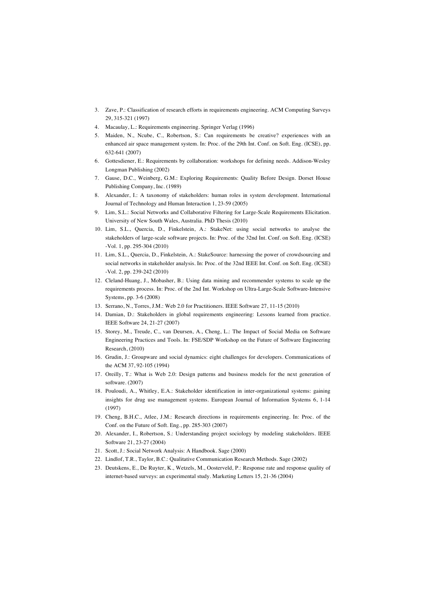- 3. Zave, P.: Classification of research efforts in requirements engineering. ACM Computing Surveys 29, 315-321 (1997)
- 4. Macaulay, L.: Requirements engineering. Springer Verlag (1996)
- 5. Maiden, N., Ncube, C., Robertson, S.: Can requirements be creative? experiences with an enhanced air space management system. In: Proc. of the 29th Int. Conf. on Soft. Eng. (ICSE), pp. 632-641 (2007)
- 6. Gottesdiener, E.: Requirements by collaboration: workshops for defining needs. Addison-Wesley Longman Publishing (2002)
- 7. Gause, D.C., Weinberg, G.M.: Exploring Requirements: Quality Before Design. Dorset House Publishing Company, Inc. (1989)
- 8. Alexander, I.: A taxonomy of stakeholders: human roles in system development. International Journal of Technology and Human Interaction 1, 23-59 (2005)
- 9. Lim, S.L.: Social Networks and Collaborative Filtering for Large-Scale Requirements Elicitation. University of New South Wales, Australia. PhD Thesis (2010)
- 10. Lim, S.L., Quercia, D., Finkelstein, A.: StakeNet: using social networks to analyse the stakeholders of large-scale software projects. In: Proc. of the 32nd Int. Conf. on Soft. Eng. (ICSE) -Vol. 1, pp. 295-304 (2010)
- 11. Lim, S.L., Quercia, D., Finkelstein, A.: StakeSource: harnessing the power of crowdsourcing and social networks in stakeholder analysis. In: Proc. of the 32nd IEEE Int. Conf. on Soft. Eng. (ICSE) -Vol. 2, pp. 239-242 (2010)
- 12. Cleland-Huang, J., Mobasher, B.: Using data mining and recommender systems to scale up the requirements process. In: Proc. of the 2nd Int. Workshop on Ultra-Large-Scale Software-Intensive Systems, pp. 3-6 (2008)
- 13. Serrano, N., Torres, J.M.: Web 2.0 for Practitioners. IEEE Software 27, 11-15 (2010)
- 14. Damian, D.: Stakeholders in global requirements engineering: Lessons learned from practice. IEEE Software 24, 21-27 (2007)
- 15. Storey, M., Treude, C., van Deursen, A., Cheng, L.: The Impact of Social Media on Software Engineering Practices and Tools. In: FSE/SDP Workshop on the Future of Software Engineering Research, (2010)
- 16. Grudin, J.: Groupware and social dynamics: eight challenges for developers. Communications of the ACM 37, 92-105 (1994)
- 17. Oreilly, T.: What is Web 2.0: Design patterns and business models for the next generation of software. (2007)
- 18. Pouloudi, A., Whitley, E.A.: Stakeholder identification in inter-organizational systems: gaining insights for drug use management systems. European Journal of Information Systems 6, 1-14 (1997)
- 19. Cheng, B.H.C., Atlee, J.M.: Research directions in requirements engineering. In: Proc. of the Conf. on the Future of Soft. Eng., pp. 285-303 (2007)
- 20. Alexander, I., Robertson, S.: Understanding project sociology by modeling stakeholders. IEEE Software 21, 23-27 (2004)
- 21. Scott, J.: Social Network Analysis: A Handbook. Sage (2000)
- 22. Lindlof, T.R., Taylor, B.C.: Qualitative Communication Research Methods. Sage (2002)
- 23. Deutskens, E., De Ruyter, K., Wetzels, M., Oosterveld, P.: Response rate and response quality of internet-based surveys: an experimental study. Marketing Letters 15, 21-36 (2004)